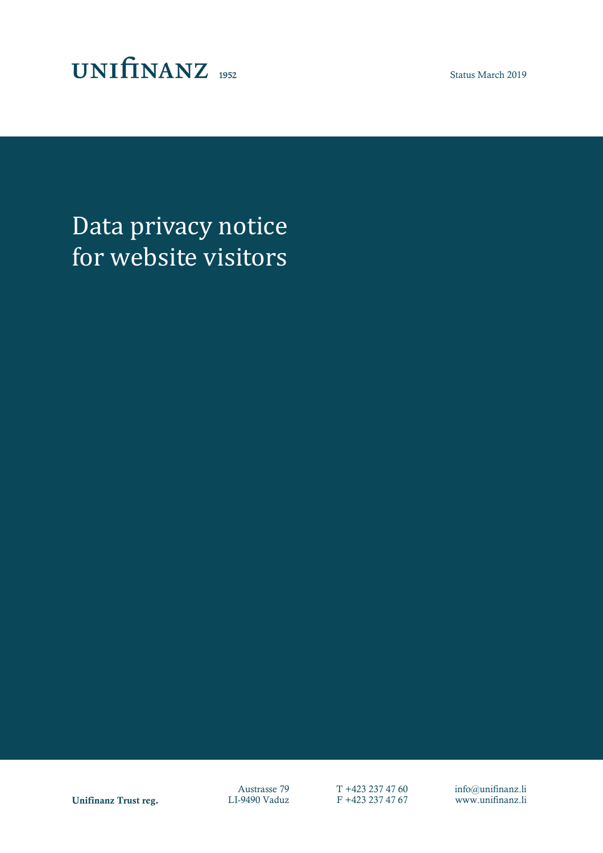

Status March 2019

Data privacy notice for website visitors

Unifinanz Trust reg. LI-9490 Vaduz F +423 237 47 67 www.unifinanz.li

Austrasse 79  $T +423 237 47 60$  info@unifinanz.li<br>I-9490 Vaduz F +423 237 47 67 www.unifinanz.li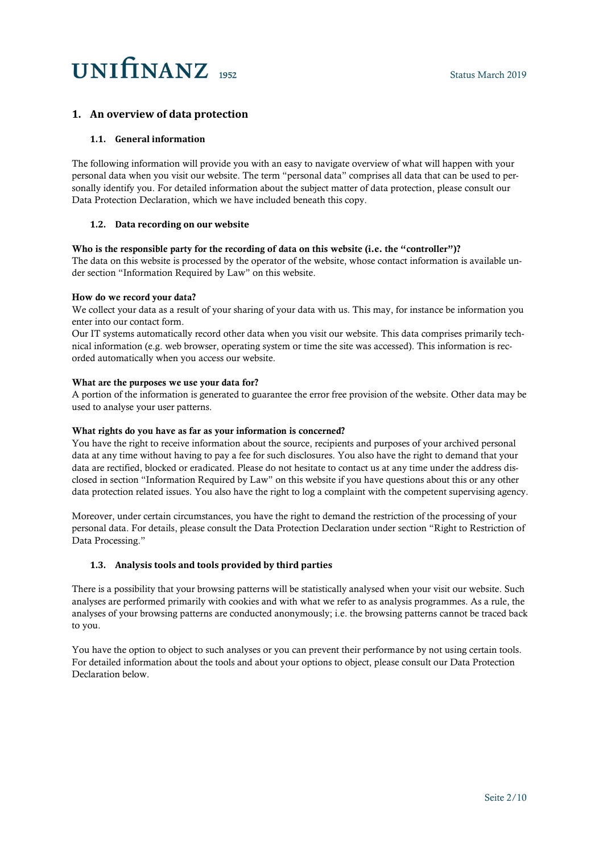## **1. An overview of data protection**

## **1.1. General information**

The following information will provide you with an easy to navigate overview of what will happen with your personal data when you visit our website. The term "personal data" comprises all data that can be used to personally identify you. For detailed information about the subject matter of data protection, please consult our Data Protection Declaration, which we have included beneath this copy.

## **1.2. Data recording on our website**

## Who is the responsible party for the recording of data on this website (i.e. the "controller")?

The data on this website is processed by the operator of the website, whose contact information is available under section "Information Required by Law" on this website.

## How do we record your data?

We collect your data as a result of your sharing of your data with us. This may, for instance be information you enter into our contact form.

Our IT systems automatically record other data when you visit our website. This data comprises primarily technical information (e.g. web browser, operating system or time the site was accessed). This information is recorded automatically when you access our website.

## What are the purposes we use your data for?

A portion of the information is generated to guarantee the error free provision of the website. Other data may be used to analyse your user patterns.

### What rights do you have as far as your information is concerned?

You have the right to receive information about the source, recipients and purposes of your archived personal data at any time without having to pay a fee for such disclosures. You also have the right to demand that your data are rectified, blocked or eradicated. Please do not hesitate to contact us at any time under the address disclosed in section "Information Required by Law" on this website if you have questions about this or any other data protection related issues. You also have the right to log a complaint with the competent supervising agency.

Moreover, under certain circumstances, you have the right to demand the restriction of the processing of your personal data. For details, please consult the Data Protection Declaration under section "Right to Restriction of Data Processing."

## **1.3. Analysis tools and tools provided by third parties**

There is a possibility that your browsing patterns will be statistically analysed when your visit our website. Such analyses are performed primarily with cookies and with what we refer to as analysis programmes. As a rule, the analyses of your browsing patterns are conducted anonymously; i.e. the browsing patterns cannot be traced back to you.

You have the option to object to such analyses or you can prevent their performance by not using certain tools. For detailed information about the tools and about your options to object, please consult our Data Protection Declaration below.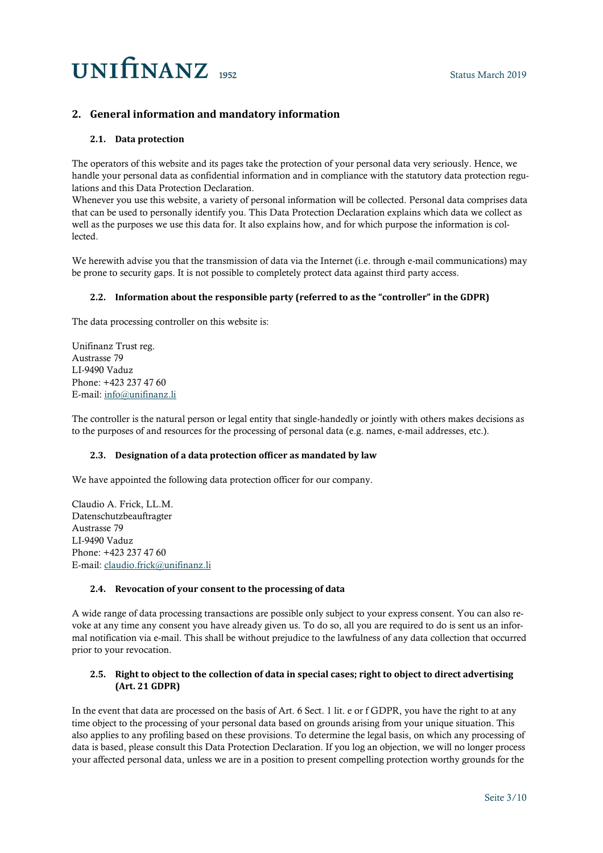## **2. General information and mandatory information**

## **2.1. Data protection**

The operators of this website and its pages take the protection of your personal data very seriously. Hence, we handle your personal data as confidential information and in compliance with the statutory data protection regulations and this Data Protection Declaration.

Whenever you use this website, a variety of personal information will be collected. Personal data comprises data that can be used to personally identify you. This Data Protection Declaration explains which data we collect as well as the purposes we use this data for. It also explains how, and for which purpose the information is collected.

We herewith advise you that the transmission of data via the Internet (i.e. through e-mail communications) may be prone to security gaps. It is not possible to completely protect data against third party access.

## **2.2. Information about the responsible party (referred to as the "controller" in the GDPR)**

The data processing controller on this website is:

Unifinanz Trust reg. Austrasse 79 LI-9490 Vaduz Phone: +423 237 47 60 E-mail: [info@unifinanz.li](mailto:info@unifinanz.li)

The controller is the natural person or legal entity that single-handedly or jointly with others makes decisions as to the purposes of and resources for the processing of personal data (e.g. names, e-mail addresses, etc.).

### **2.3. Designation of a data protection officer as mandated by law**

We have appointed the following data protection officer for our company.

Claudio A. Frick, LL.M. Datenschutzbeauftragter Austrasse 79 LI-9490 Vaduz Phone: +423 237 47 60 E-mail: [claudio.frick@unifinanz.li](mailto:claudio.frick@unifinanz.li)

## **2.4. Revocation of your consent to the processing of data**

A wide range of data processing transactions are possible only subject to your express consent. You can also revoke at any time any consent you have already given us. To do so, all you are required to do is sent us an informal notification via e-mail. This shall be without prejudice to the lawfulness of any data collection that occurred prior to your revocation.

## **2.5. Right to object to the collection of data in special cases; right to object to direct advertising (Art. 21 GDPR)**

In the event that data are processed on the basis of Art. 6 Sect. 1 lit. e or f GDPR, you have the right to at any time object to the processing of your personal data based on grounds arising from your unique situation. This also applies to any profiling based on these provisions. To determine the legal basis, on which any processing of data is based, please consult this Data Protection Declaration. If you log an objection, we will no longer process your affected personal data, unless we are in a position to present compelling protection worthy grounds for the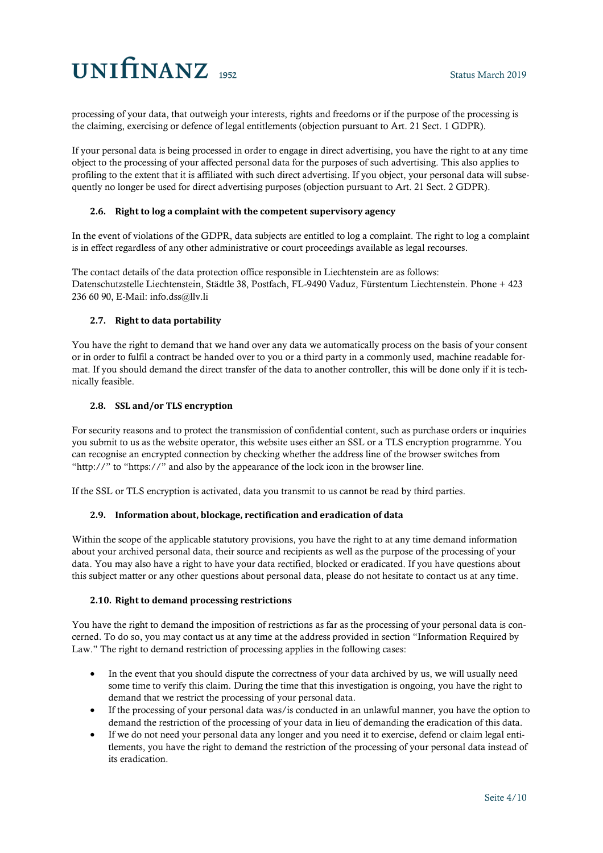processing of your data, that outweigh your interests, rights and freedoms or if the purpose of the processing is the claiming, exercising or defence of legal entitlements (objection pursuant to Art. 21 Sect. 1 GDPR).

If your personal data is being processed in order to engage in direct advertising, you have the right to at any time object to the processing of your affected personal data for the purposes of such advertising. This also applies to profiling to the extent that it is affiliated with such direct advertising. If you object, your personal data will subsequently no longer be used for direct advertising purposes (objection pursuant to Art. 21 Sect. 2 GDPR).

## **2.6. Right to log a complaint with the competent supervisory agency**

In the event of violations of the GDPR, data subjects are entitled to log a complaint. The right to log a complaint is in effect regardless of any other administrative or court proceedings available as legal recourses.

The contact details of the data protection office responsible in Liechtenstein are as follows: Datenschutzstelle Liechtenstein, Städtle 38, Postfach, FL-9490 Vaduz, Fürstentum Liechtenstein. Phone + 423 236 60 90, E-Mail: info.dss@llv.li

## **2.7. Right to data portability**

You have the right to demand that we hand over any data we automatically process on the basis of your consent or in order to fulfil a contract be handed over to you or a third party in a commonly used, machine readable format. If you should demand the direct transfer of the data to another controller, this will be done only if it is technically feasible.

## **2.8. SSL and/or TLS encryption**

For security reasons and to protect the transmission of confidential content, such as purchase orders or inquiries you submit to us as the website operator, this website uses either an SSL or a TLS encryption programme. You can recognise an encrypted connection by checking whether the address line of the browser switches from "http://" to "https://" and also by the appearance of the lock icon in the browser line.

If the SSL or TLS encryption is activated, data you transmit to us cannot be read by third parties.

## **2.9. Information about, blockage, rectification and eradication of data**

Within the scope of the applicable statutory provisions, you have the right to at any time demand information about your archived personal data, their source and recipients as well as the purpose of the processing of your data. You may also have a right to have your data rectified, blocked or eradicated. If you have questions about this subject matter or any other questions about personal data, please do not hesitate to contact us at any time.

## **2.10. Right to demand processing restrictions**

You have the right to demand the imposition of restrictions as far as the processing of your personal data is concerned. To do so, you may contact us at any time at the address provided in section "Information Required by Law." The right to demand restriction of processing applies in the following cases:

- In the event that you should dispute the correctness of your data archived by us, we will usually need some time to verify this claim. During the time that this investigation is ongoing, you have the right to demand that we restrict the processing of your personal data.
- If the processing of your personal data was/is conducted in an unlawful manner, you have the option to demand the restriction of the processing of your data in lieu of demanding the eradication of this data.
- If we do not need your personal data any longer and you need it to exercise, defend or claim legal entitlements, you have the right to demand the restriction of the processing of your personal data instead of its eradication.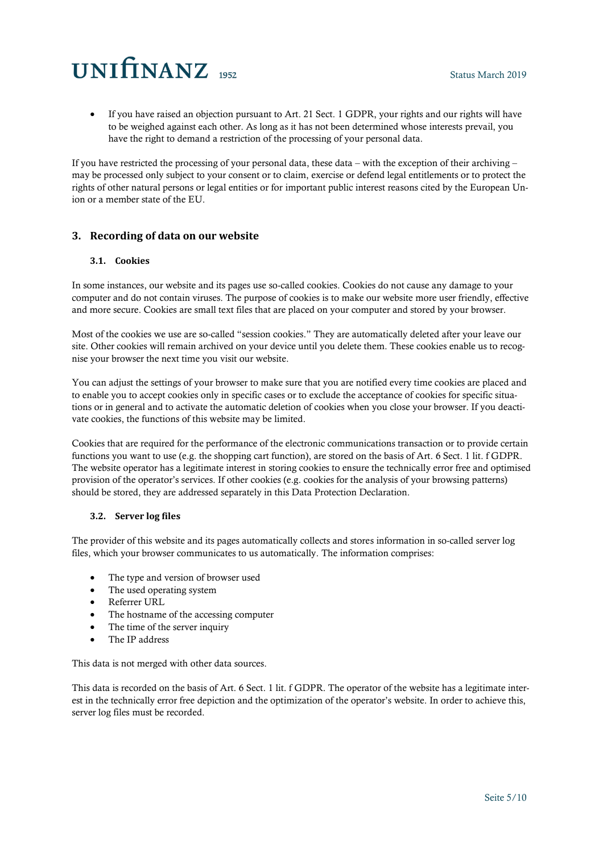• If you have raised an objection pursuant to Art. 21 Sect. 1 GDPR, your rights and our rights will have to be weighed against each other. As long as it has not been determined whose interests prevail, you have the right to demand a restriction of the processing of your personal data.

If you have restricted the processing of your personal data, these data – with the exception of their archiving – may be processed only subject to your consent or to claim, exercise or defend legal entitlements or to protect the rights of other natural persons or legal entities or for important public interest reasons cited by the European Union or a member state of the EU.

## **3. Recording of data on our website**

## **3.1. Cookies**

In some instances, our website and its pages use so-called cookies. Cookies do not cause any damage to your computer and do not contain viruses. The purpose of cookies is to make our website more user friendly, effective and more secure. Cookies are small text files that are placed on your computer and stored by your browser.

Most of the cookies we use are so-called "session cookies." They are automatically deleted after your leave our site. Other cookies will remain archived on your device until you delete them. These cookies enable us to recognise your browser the next time you visit our website.

You can adjust the settings of your browser to make sure that you are notified every time cookies are placed and to enable you to accept cookies only in specific cases or to exclude the acceptance of cookies for specific situations or in general and to activate the automatic deletion of cookies when you close your browser. If you deactivate cookies, the functions of this website may be limited.

Cookies that are required for the performance of the electronic communications transaction or to provide certain functions you want to use (e.g. the shopping cart function), are stored on the basis of Art. 6 Sect. 1 lit. f GDPR. The website operator has a legitimate interest in storing cookies to ensure the technically error free and optimised provision of the operator's services. If other cookies (e.g. cookies for the analysis of your browsing patterns) should be stored, they are addressed separately in this Data Protection Declaration.

## **3.2. Server log files**

The provider of this website and its pages automatically collects and stores information in so-called server log files, which your browser communicates to us automatically. The information comprises:

- The type and version of browser used
- The used operating system
- Referrer URL
- The hostname of the accessing computer
- The time of the server inquiry
- The IP address

This data is not merged with other data sources.

This data is recorded on the basis of Art. 6 Sect. 1 lit. f GDPR. The operator of the website has a legitimate interest in the technically error free depiction and the optimization of the operator's website. In order to achieve this, server log files must be recorded.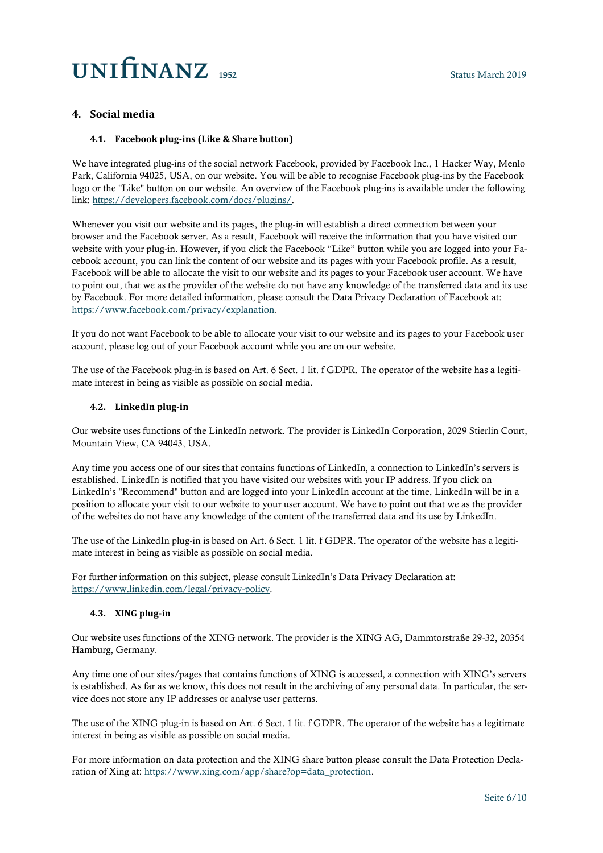## **4. Social media**

## **4.1. Facebook plug-ins (Like & Share button)**

We have integrated plug-ins of the social network Facebook, provided by Facebook Inc., 1 Hacker Way, Menlo Park, California 94025, USA, on our website. You will be able to recognise Facebook plug-ins by the Facebook logo or the "Like" button on our website. An overview of the Facebook plug-ins is available under the following link: [https://developers.facebook.com/docs/plugins/.](https://developers.facebook.com/docs/plugins/)

Whenever you visit our website and its pages, the plug-in will establish a direct connection between your browser and the Facebook server. As a result, Facebook will receive the information that you have visited our website with your plug-in. However, if you click the Facebook "Like" button while you are logged into your Facebook account, you can link the content of our website and its pages with your Facebook profile. As a result, Facebook will be able to allocate the visit to our website and its pages to your Facebook user account. We have to point out, that we as the provider of the website do not have any knowledge of the transferred data and its use by Facebook. For more detailed information, please consult the Data Privacy Declaration of Facebook at: [https://www.facebook.com/privacy/explanation.](https://www.facebook.com/privacy/explanation)

If you do not want Facebook to be able to allocate your visit to our website and its pages to your Facebook user account, please log out of your Facebook account while you are on our website.

The use of the Facebook plug-in is based on Art. 6 Sect. 1 lit. f GDPR. The operator of the website has a legitimate interest in being as visible as possible on social media.

### **4.2. LinkedIn plug-in**

Our website uses functions of the LinkedIn network. The provider is LinkedIn Corporation, 2029 Stierlin Court, Mountain View, CA 94043, USA.

Any time you access one of our sites that contains functions of LinkedIn, a connection to LinkedIn's servers is established. LinkedIn is notified that you have visited our websites with your IP address. If you click on LinkedIn's "Recommend" button and are logged into your LinkedIn account at the time, LinkedIn will be in a position to allocate your visit to our website to your user account. We have to point out that we as the provider of the websites do not have any knowledge of the content of the transferred data and its use by LinkedIn.

The use of the LinkedIn plug-in is based on Art. 6 Sect. 1 lit. f GDPR. The operator of the website has a legitimate interest in being as visible as possible on social media.

For further information on this subject, please consult LinkedIn's Data Privacy Declaration at: [https://www.linkedin.com/legal/privacy-policy.](https://www.linkedin.com/legal/privacy-policy)

#### **4.3. XING plug-in**

Our website uses functions of the XING network. The provider is the XING AG, Dammtorstraße 29-32, 20354 Hamburg, Germany.

Any time one of our sites/pages that contains functions of XING is accessed, a connection with XING's servers is established. As far as we know, this does not result in the archiving of any personal data. In particular, the service does not store any IP addresses or analyse user patterns.

The use of the XING plug-in is based on Art. 6 Sect. 1 lit. f GDPR. The operator of the website has a legitimate interest in being as visible as possible on social media.

For more information on data protection and the XING share button please consult the Data Protection Declaration of Xing at[: https://www.xing.com/app/share?op=data\\_protection.](https://www.xing.com/app/share?op=data_protection)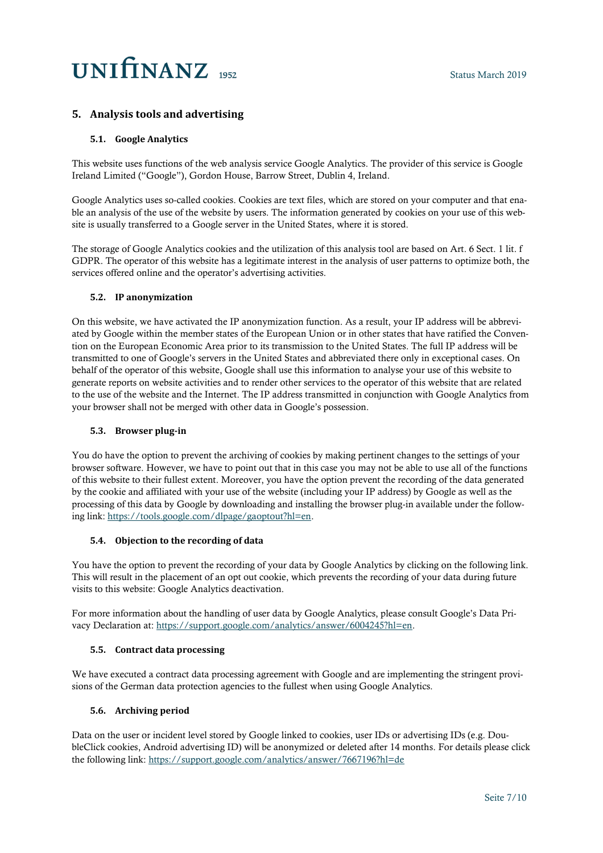## **5. Analysis tools and advertising**

## **5.1. Google Analytics**

This website uses functions of the web analysis service Google Analytics. The provider of this service is Google Ireland Limited ("Google"), Gordon House, Barrow Street, Dublin 4, Ireland.

Google Analytics uses so-called cookies. Cookies are text files, which are stored on your computer and that enable an analysis of the use of the website by users. The information generated by cookies on your use of this website is usually transferred to a Google server in the United States, where it is stored.

The storage of Google Analytics cookies and the utilization of this analysis tool are based on Art. 6 Sect. 1 lit. f GDPR. The operator of this website has a legitimate interest in the analysis of user patterns to optimize both, the services offered online and the operator's advertising activities.

### **5.2. IP anonymization**

On this website, we have activated the IP anonymization function. As a result, your IP address will be abbreviated by Google within the member states of the European Union or in other states that have ratified the Convention on the European Economic Area prior to its transmission to the United States. The full IP address will be transmitted to one of Google's servers in the United States and abbreviated there only in exceptional cases. On behalf of the operator of this website, Google shall use this information to analyse your use of this website to generate reports on website activities and to render other services to the operator of this website that are related to the use of the website and the Internet. The IP address transmitted in conjunction with Google Analytics from your browser shall not be merged with other data in Google's possession.

#### **5.3. Browser plug-in**

You do have the option to prevent the archiving of cookies by making pertinent changes to the settings of your browser software. However, we have to point out that in this case you may not be able to use all of the functions of this website to their fullest extent. Moreover, you have the option prevent the recording of the data generated by the cookie and affiliated with your use of the website (including your IP address) by Google as well as the processing of this data by Google by downloading and installing the browser plug-in available under the following link: [https://tools.google.com/dlpage/gaoptout?hl=en.](https://tools.google.com/dlpage/gaoptout?hl=en)

## **5.4. Objection to the recording of data**

You have the option to prevent the recording of your data by Google Analytics by clicking on the following link. This will result in the placement of an opt out cookie, which prevents the recording of your data during future visits to this website: Google Analytics deactivation.

For more information about the handling of user data by Google Analytics, please consult Google's Data Privacy Declaration at: [https://support.google.com/analytics/answer/6004245?hl=en.](https://support.google.com/analytics/answer/6004245?hl=de)

## **5.5. Contract data processing**

We have executed a contract data processing agreement with Google and are implementing the stringent provisions of the German data protection agencies to the fullest when using Google Analytics.

## **5.6. Archiving period**

Data on the user or incident level stored by Google linked to cookies, user IDs or advertising IDs (e.g. DoubleClick cookies, Android advertising ID) will be anonymized or deleted after 14 months. For details please click the following link[: https://support.google.com/analytics/answer/7667196?hl=de](https://support.google.com/analytics/answer/7667196?hl=de)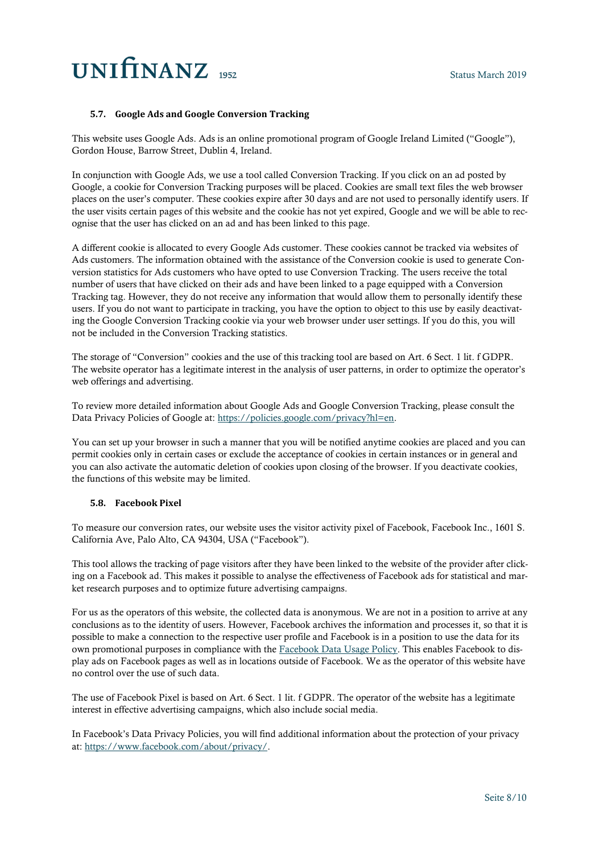### **5.7. Google Ads and Google Conversion Tracking**

This website uses Google Ads. Ads is an online promotional program of Google Ireland Limited ("Google"), Gordon House, Barrow Street, Dublin 4, Ireland.

In conjunction with Google Ads, we use a tool called Conversion Tracking. If you click on an ad posted by Google, a cookie for Conversion Tracking purposes will be placed. Cookies are small text files the web browser places on the user's computer. These cookies expire after 30 days and are not used to personally identify users. If the user visits certain pages of this website and the cookie has not yet expired, Google and we will be able to recognise that the user has clicked on an ad and has been linked to this page.

A different cookie is allocated to every Google Ads customer. These cookies cannot be tracked via websites of Ads customers. The information obtained with the assistance of the Conversion cookie is used to generate Conversion statistics for Ads customers who have opted to use Conversion Tracking. The users receive the total number of users that have clicked on their ads and have been linked to a page equipped with a Conversion Tracking tag. However, they do not receive any information that would allow them to personally identify these users. If you do not want to participate in tracking, you have the option to object to this use by easily deactivating the Google Conversion Tracking cookie via your web browser under user settings. If you do this, you will not be included in the Conversion Tracking statistics.

The storage of "Conversion" cookies and the use of this tracking tool are based on Art. 6 Sect. 1 lit. f GDPR. The website operator has a legitimate interest in the analysis of user patterns, in order to optimize the operator's web offerings and advertising.

To review more detailed information about Google Ads and Google Conversion Tracking, please consult the Data Privacy Policies of Google at: [https://policies.google.com/privacy?hl=en.](https://policies.google.com/privacy?hl=en)

You can set up your browser in such a manner that you will be notified anytime cookies are placed and you can permit cookies only in certain cases or exclude the acceptance of cookies in certain instances or in general and you can also activate the automatic deletion of cookies upon closing of the browser. If you deactivate cookies, the functions of this website may be limited.

### **5.8. Facebook Pixel**

To measure our conversion rates, our website uses the visitor activity pixel of Facebook, Facebook Inc., 1601 S. California Ave, Palo Alto, CA 94304, USA ("Facebook").

This tool allows the tracking of page visitors after they have been linked to the website of the provider after clicking on a Facebook ad. This makes it possible to analyse the effectiveness of Facebook ads for statistical and market research purposes and to optimize future advertising campaigns.

For us as the operators of this website, the collected data is anonymous. We are not in a position to arrive at any conclusions as to the identity of users. However, Facebook archives the information and processes it, so that it is possible to make a connection to the respective user profile and Facebook is in a position to use the data for its own promotional purposes in compliance with the [Facebook Data Usage Policy.](https://www.facebook.com/about/privacy/) This enables Facebook to display ads on Facebook pages as well as in locations outside of Facebook. We as the operator of this website have no control over the use of such data.

The use of Facebook Pixel is based on Art. 6 Sect. 1 lit. f GDPR. The operator of the website has a legitimate interest in effective advertising campaigns, which also include social media.

In Facebook's Data Privacy Policies, you will find additional information about the protection of your privacy at[: https://www.facebook.com/about/privacy/.](https://www.facebook.com/about/privacy/)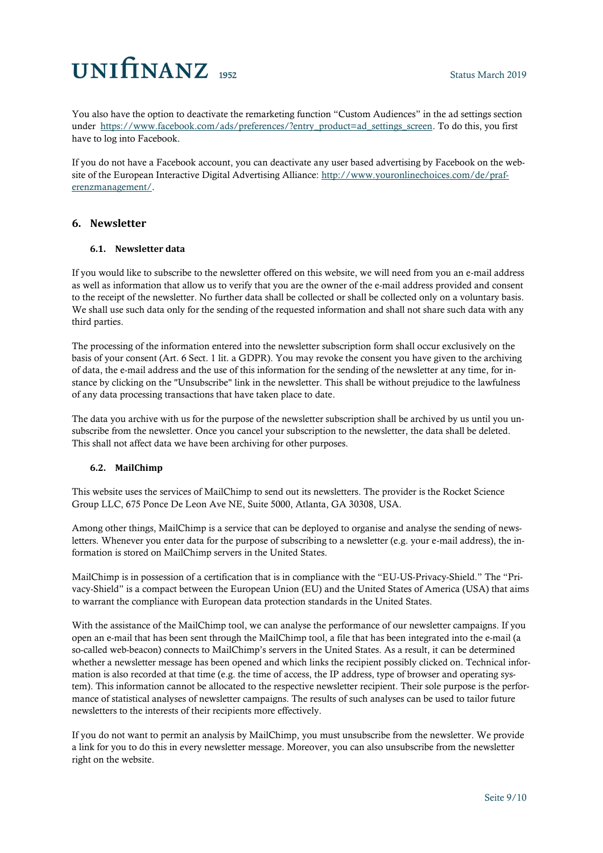You also have the option to deactivate the remarketing function "Custom Audiences" in the ad settings section under [https://www.facebook.com/ads/preferences/?entry\\_product=ad\\_settings\\_screen.](https://www.facebook.com/ads/preferences/?entry_product=ad_settings_screen) To do this, you first have to log into Facebook.

If you do not have a Facebook account, you can deactivate any user based advertising by Facebook on the website of the European Interactive Digital Advertising Alliance: [http://www.youronlinechoices.com/de/praf](http://www.youronlinechoices.com/de/praferenzmanagement/)[erenzmanagement/.](http://www.youronlinechoices.com/de/praferenzmanagement/)

## **6. Newsletter**

### **6.1. Newsletter data**

If you would like to subscribe to the newsletter offered on this website, we will need from you an e-mail address as well as information that allow us to verify that you are the owner of the e-mail address provided and consent to the receipt of the newsletter. No further data shall be collected or shall be collected only on a voluntary basis. We shall use such data only for the sending of the requested information and shall not share such data with any third parties.

The processing of the information entered into the newsletter subscription form shall occur exclusively on the basis of your consent (Art. 6 Sect. 1 lit. a GDPR). You may revoke the consent you have given to the archiving of data, the e-mail address and the use of this information for the sending of the newsletter at any time, for instance by clicking on the "Unsubscribe" link in the newsletter. This shall be without prejudice to the lawfulness of any data processing transactions that have taken place to date.

The data you archive with us for the purpose of the newsletter subscription shall be archived by us until you unsubscribe from the newsletter. Once you cancel your subscription to the newsletter, the data shall be deleted. This shall not affect data we have been archiving for other purposes.

## **6.2. MailChimp**

This website uses the services of MailChimp to send out its newsletters. The provider is the Rocket Science Group LLC, 675 Ponce De Leon Ave NE, Suite 5000, Atlanta, GA 30308, USA.

Among other things, MailChimp is a service that can be deployed to organise and analyse the sending of newsletters. Whenever you enter data for the purpose of subscribing to a newsletter (e.g. your e-mail address), the information is stored on MailChimp servers in the United States.

MailChimp is in possession of a certification that is in compliance with the "EU-US-Privacy-Shield." The "Privacy-Shield" is a compact between the European Union (EU) and the United States of America (USA) that aims to warrant the compliance with European data protection standards in the United States.

With the assistance of the MailChimp tool, we can analyse the performance of our newsletter campaigns. If you open an e-mail that has been sent through the MailChimp tool, a file that has been integrated into the e-mail (a so-called web-beacon) connects to MailChimp's servers in the United States. As a result, it can be determined whether a newsletter message has been opened and which links the recipient possibly clicked on. Technical information is also recorded at that time (e.g. the time of access, the IP address, type of browser and operating system). This information cannot be allocated to the respective newsletter recipient. Their sole purpose is the performance of statistical analyses of newsletter campaigns. The results of such analyses can be used to tailor future newsletters to the interests of their recipients more effectively.

If you do not want to permit an analysis by MailChimp, you must unsubscribe from the newsletter. We provide a link for you to do this in every newsletter message. Moreover, you can also unsubscribe from the newsletter right on the website.